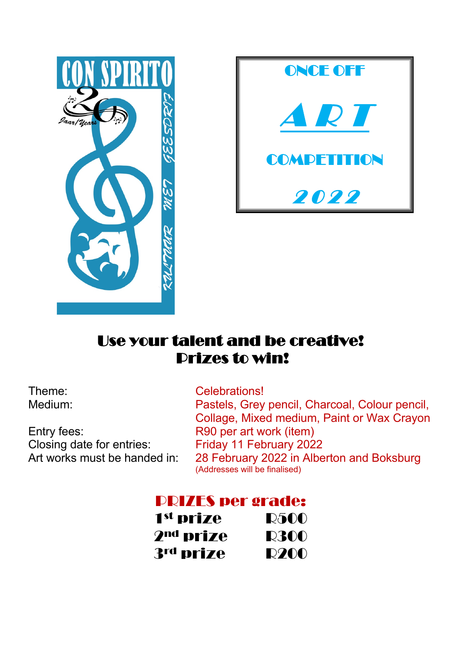



## Use your talent and be creative! Prizes to win!

Closing date for entries:<br>
Art works must be handed in: 28 February 2022 in Albe

Theme: Celebrations! Medium: Pastels, Grey pencil, Charcoal, Colour pencil, Collage, Mixed medium, Paint or Wax Crayon Entry fees: R90 per art work (item) 28 February 2022 in Alberton and Boksburg (Addresses will be finalised)

## PRIZES per grade:

| 1 <sup>st</sup> prize | <b>R500</b> |
|-----------------------|-------------|
| 2 <sup>nd</sup> prize | <b>R300</b> |
| 3rd prize             | <b>R200</b> |